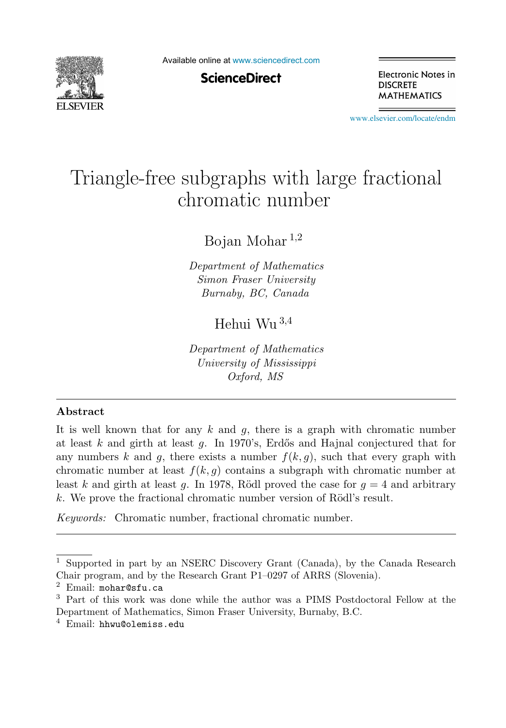

Available online at [www.sciencedirect.com](http://www.sciencedirect.com)

**ScienceDirect** 

Electronic Notes in **DISCRETE MATHEMATICS** 

[www.elsevier.com/locate/endm](http://www.elsevier.com/locate/endm)

# Triangle-free subgraphs with large fractional<br>chromatic number

Bojan Mohar  $^{1,2}$ 

Department of Mathematics Simon Fraser University Burnaby, BC, Canada

Hehui Wu <sup>3</sup>,<sup>4</sup>

Department of Mathematics University of Mississippi Oxford, MS

#### **Abstract**

It is well known that for any  $k$  and  $q$ , there is a graph with chromatic number at least k and girth at least q. In 1970's, Erdős and Hajnal conjectured that for any numbers k and g, there exists a number  $f(k, q)$ , such that every graph with chromatic number at least  $f(k, g)$  contains a subgraph with chromatic number at least k and girth at least g. In 1978, Rödl proved the case for  $q = 4$  and arbitrary k. We prove the fractional chromatic number version of Rödl's result.

Keywords: Chromatic number, fractional chromatic number.

<sup>1</sup> Supported in part by an NSERC Discovery Grant (Canada), by the Canada Research Chair program, and by the Research Grant P1–0297 of ARRS (Slovenia).

<sup>2</sup> Email: mohar@sfu.ca

<sup>3</sup> Part of this work was done while the author was a PIMS Postdoctoral Fellow at the Department of Mathematics, Simon Fraser University, Burnaby, B.C.

<sup>4</sup> Email: hhwu@olemiss.edu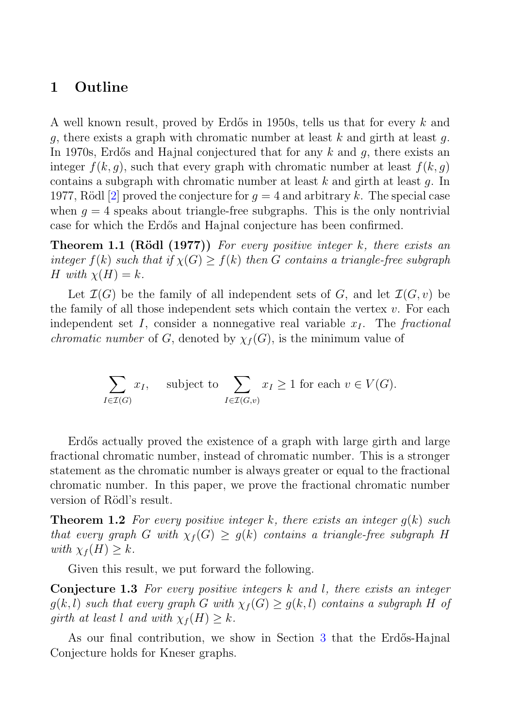## **1 Outline**

A well known result, proved by Erdős in 1950s, tells us that for every  $k$  and q, there exists a graph with chromatic number at least k and girth at least q. In 1970s, Erdős and Hajnal conjectured that for any  $k$  and  $q$ , there exists an integer  $f(k, q)$ , such that every graph with chromatic number at least  $f(k, q)$ contains a subgraph with chromatic number at least k and girth at least  $q$ . In 1977, Rödl [2] proved the conjecture for  $q = 4$  and arbitrary k. The special case when  $q = 4$  speaks about triangle-free subgraphs. This is the only nontrivial case for which the Erd˝os and Hajnal conjecture has been confirmed.

**Theorem 1.1 (Rödl (1977))** For every positive integer k, there exists an integer  $f(k)$  such that if  $\chi(G) \geq f(k)$  then G contains a triangle-free subgraph H with  $\chi(H) = k$ .

Let  $\mathcal{I}(G)$  be the family of all independent sets of G, and let  $\mathcal{I}(G, v)$  be the family of all those independent sets which contain the vertex  $v$ . For each independent set I, consider a nonnegative real variable  $x_I$ . The fractional *chromatic number* of G, denoted by  $\chi_f(G)$ , is the minimum value of

$$
\sum_{I \in \mathcal{I}(G)} x_I, \quad \text{subject to } \sum_{I \in \mathcal{I}(G,v)} x_I \ge 1 \text{ for each } v \in V(G).
$$

Erdős actually proved the existence of a graph with large girth and large fractional chromatic number, instead of chromatic number. This is a stronger statement as the chromatic number is always greater or equal to the fractional chromatic number. In this paper, we prove the fractional chromatic number version of Rödl's result.

**Theorem 1.2** For every positive integer k, there exists an integer  $q(k)$  such that every graph G with  $\chi_f(G) \geq g(k)$  contains a triangle-free subgraph H with  $\chi_f(H) \geq k$ .

Given this result, we put forward the following.

**Conjecture 1.3** For every positive integers k and l, there exists an integer  $g(k,l)$  such that every graph G with  $\chi_f(G) \geq g(k,l)$  contains a subgraph H of girth at least l and with  $\chi_f(H) \geq k$ .

As our final contribution, we show in Section 3 that the Erdős-Hajnal Conjecture holds for Kneser graphs.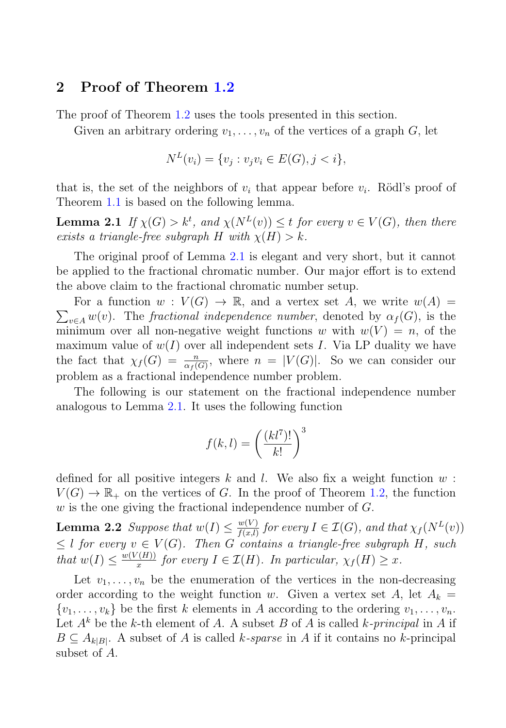#### **2 Proof of Theorem 1.2**

The proof of Theorem 1.2 uses the tools presented in this section.

Given an arbitrary ordering  $v_1, \ldots, v_n$  of the vertices of a graph G, let

$$
N^{L}(v_{i}) = \{v_{j} : v_{j}v_{i} \in E(G), j < i\},\
$$

that is, the set of the neighbors of  $v_i$  that appear before  $v_i$ . Rödl's proof of Theorem 1.1 is based on the following lemma.

**Lemma 2.1** If  $\chi(G) > k^t$ , and  $\chi(N^L(v)) \leq t$  for every  $v \in V(G)$ , then there exists a triangle-free subgraph H with  $\chi(H) > k$ exists a triangle-free subgraph H with  $\chi(H) > k$ .

The original proof of Lemma 2.1 is elegant and very short, but it cannot be applied to the fractional chromatic number. Our major effort is to extend the above claim to the fractional chromatic number setup.

 $\sum_{v \in A} w(v)$ . The *fractional independence number*, denoted by  $\alpha_f(G)$ , is the minimum over all non-negative weight functions w with  $w(V) = n$  of the For a function  $w: V(G) \to \mathbb{R}$ , and a vertex set A, we write  $w(A) =$ minimum over all non-negative weight functions w with  $w(V) = n$ , of the maximum value of  $w(I)$  over all independent sets I. Via LP duality we have the fact that  $\chi_f(G) = \frac{n}{\alpha_f(G)}$ , where  $n = |V(G)|$ . So we can consider our problem as a fractional independence number problem.

The following is our statement on the fractional independence number analogous to Lemma 2.1. It uses the following function

$$
f(k,l) = \left(\frac{(kl^7)!}{k!}\right)^3
$$

defined for all positive integers k and l. We also fix a weight function  $w$ :  $V(G) \to \mathbb{R}_+$  on the vertices of G. In the proof of Theorem 1.2, the function w is the one giving the fractional independence number of  $G$ .

**Lemma 2.2** Suppose that  $w(I) \leq \frac{w(V)}{f(x,l)}$  for every  $I \in \mathcal{I}(G)$ , and that  $\chi_f(N^L(v))$ <br>  $\leq l$  for every  $v \in V(G)$ . Then  $G$  explains a triangle free subgraph  $H$ , such  $\leq l$  for every  $v \in V(G)$ . Then G contains a triangle-free subgraph H, such that  $w(I) \leq \frac{w(V(H))}{x}$  for every  $I \in \mathcal{I}(H)$ . In particular,  $\chi_f(H) \geq x$ .

Let  $v_1, \ldots, v_n$  be the enumeration of the vertices in the non-decreasing order according to the weight function w. Given a vertex set A, let  $A_k =$  $\{v_1,\ldots,v_k\}$  be the first k elements in A according to the ordering  $v_1,\ldots,v_n$ . Let  $A^k$  be the k-th element of A. A subset B of A is called k-principal in A if  $B \subseteq A_{k|B|}$ . A subset of A is called k-sparse in A if it contains no k-principal subset of A.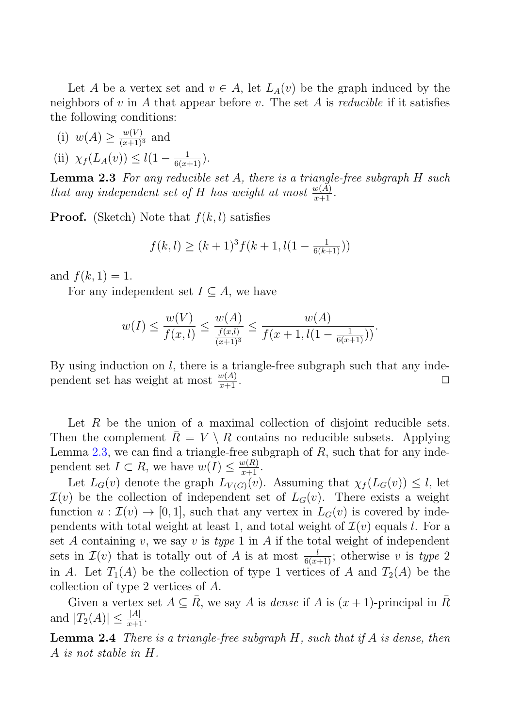Let A be a vertex set and  $v \in A$ , let  $L_A(v)$  be the graph induced by the neighbors of v in A that appear before v. The set A is *reducible* if it satisfies the following conditions:

- (i)  $w(A) \ge \frac{w(V)}{(x+1)^3}$  and
- (ii)  $\chi_f(L_A(v)) \leq l(1 \frac{1}{6(x+1)}).$

**Lemma 2.3** For any reducible set A, there is a triangle-free subgraph H such that any independent set of H has weight at most  $\frac{w(A)}{x+1}$ .

**Proof.** (Sketch) Note that  $f(k, l)$  satisfies

$$
f(k, l) \ge (k+1)^3 f(k+1, l(1 - \frac{1}{6(k+1)}))
$$

and  $f(k, 1) = 1$ .

For any independent set  $I \subseteq A$ , we have

$$
w(I) \le \frac{w(V)}{f(x,l)} \le \frac{w(A)}{\frac{f(x,l)}{(x+1)^3}} \le \frac{w(A)}{f(x+1, l(1-\frac{1}{6(x+1)}))}.
$$

By using induction on *l*, there is a triangle-free subgraph such that any inde-<br>nendent set has weight at most  $\frac{w(A)}{A}$ . pendent set has weight at most  $\frac{w(A)}{x+1}$ .  $\frac{w(A)}{x+1}$ .

Let  $R$  be the union of a maximal collection of disjoint reducible sets. Then the complement  $R = V \setminus R$  contains no reducible subsets. Applying Lemma  $2.3$ , we can find a triangle-free subgraph of  $R$ , such that for any independent set  $I \subset R$ , we have  $w(I) \leq \frac{w(R)}{x+1}$ .<br>Let  $I_{\infty}(v)$  denote the graph  $I_{\infty}(v)$ .

Let  $L_G(v)$  denote the graph  $L_{V(G)}(v)$ . Assuming that  $\chi_f(L_G(v)) \leq l$ , let  $\mathcal{I}(v)$  be the collection of independent set of  $L_G(v)$ . There exists a weight function  $u : \mathcal{I}(v) \to [0, 1]$ , such that any vertex in  $L_G(v)$  is covered by independents with total weight at least 1, and total weight of  $\mathcal{I}(v)$  equals l. For a set A containing v, we say v is type 1 in A if the total weight of independent sets in  $\mathcal{I}(v)$  that is totally out of A is at most  $\frac{l}{6(k+1)}$ ; otherwise v is type 2<br>in A. Let  $T(A)$  be the collection of type 1 vertices of A and  $T(A)$  be the in A. Let  $T_1(A)$  be the collection of type 1 vertices of A and  $T_2(A)$  be the collection of type 2 vertices of A.

Given a vertex set  $A \subseteq \overline{R}$ , we say A is dense if A is  $(x + 1)$ -principal in  $\overline{R}$ and  $|T_2(A)| \leq \frac{|A|}{x+1}$ .

**Lemma 2.4** There is a triangle-free subgraph H, such that if A is dense, then A is not stable in H.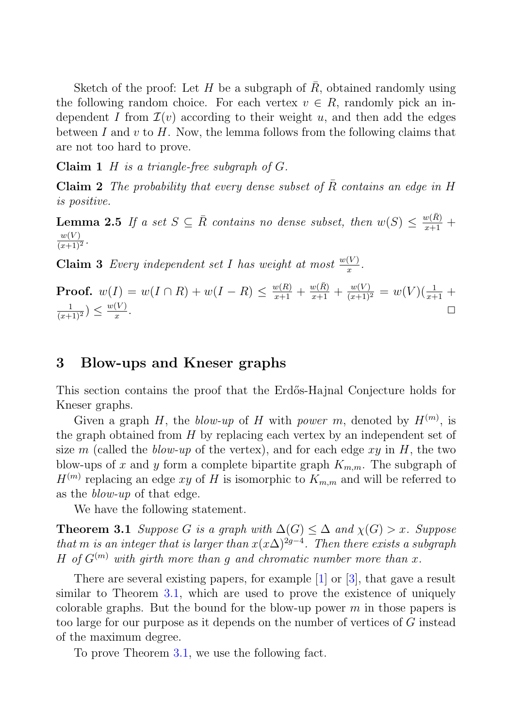Sketch of the proof: Let  $H$  be a subgraph of  $R$ , obtained randomly using the following random choice. For each vertex  $v \in R$ , randomly pick an independent I from  $\mathcal{I}(v)$  according to their weight u, and then add the edges between I and v to H. Now, the lemma follows from the following claims that are not too hard to prove.

**Claim 1** H is a triangle-free subgraph of G.

**Claim 2** The probability that every dense subset of  $\overline{R}$  contains an edge in H is positive.

**Lemma 2.5** If a set  $S \subseteq \overline{R}$  contains no dense subset, then  $w(S) \leq \frac{w(\overline{R})}{x+1} + \frac{w(V)}{(x+1)^2}$ .  $\frac{w(V)}{(x+1)^2}$ .

**Claim 3** Every independent set I has weight at most  $\frac{w(V)}{x}$ .

**Proof.**  $w(I) = w(I \cap R) + w(I - R) \leq \frac{w(R)}{x+1} + \frac{w(R)}{x+1} + \frac{w(V)}{(x+1)^2} = w(V)(\frac{1}{x+1} + \frac{1}{x+1})$  $\frac{1}{(x+1)^2}$ )  $\leq \frac{w(V)}{x}$  $\frac{\sqrt{v}}{x}$ .

# **3 Blow-ups and Kneser graphs**

This section contains the proof that the Erdős-Hajnal Conjecture holds for Kneser graphs.

Given a graph H, the blow-up of H with power m, denoted by  $H^{(m)}$ , is<br>graph obtained from H by replacing each vertex by an independent set of the graph obtained from  $H$  by replacing each vertex by an independent set of size m (called the *blow-up* of the vertex), and for each edge  $xy$  in  $H$ , the two blow-ups of x and y form a complete bipartite graph  $K_{m,m}$ . The subgraph of  $H^{(m)}$  replacing an edge xy of H is isomorphic to  $K_{m,m}$  and will be referred to as the blow-up of that edge.

We have the following statement.

**Theorem 3.1** Suppose G is a graph with  $\Delta(G) \leq \Delta$  and  $\chi(G) > x$ . Suppose that m is an integer that is larger than  $x(x\Delta)^{2g-4}$ . Then there exists a subgraph H of  $G^{(m)}$  with girth more than g and chromatic number more than x.

There are several existing papers, for example [1] or [3], that gave a result similar to Theorem 3.1, which are used to prove the existence of uniquely colorable graphs. But the bound for the blow-up power  $m$  in those papers is too large for our purpose as it depends on the number of vertices of G instead of the maximum degree.

To prove Theorem 3.1, we use the following fact.